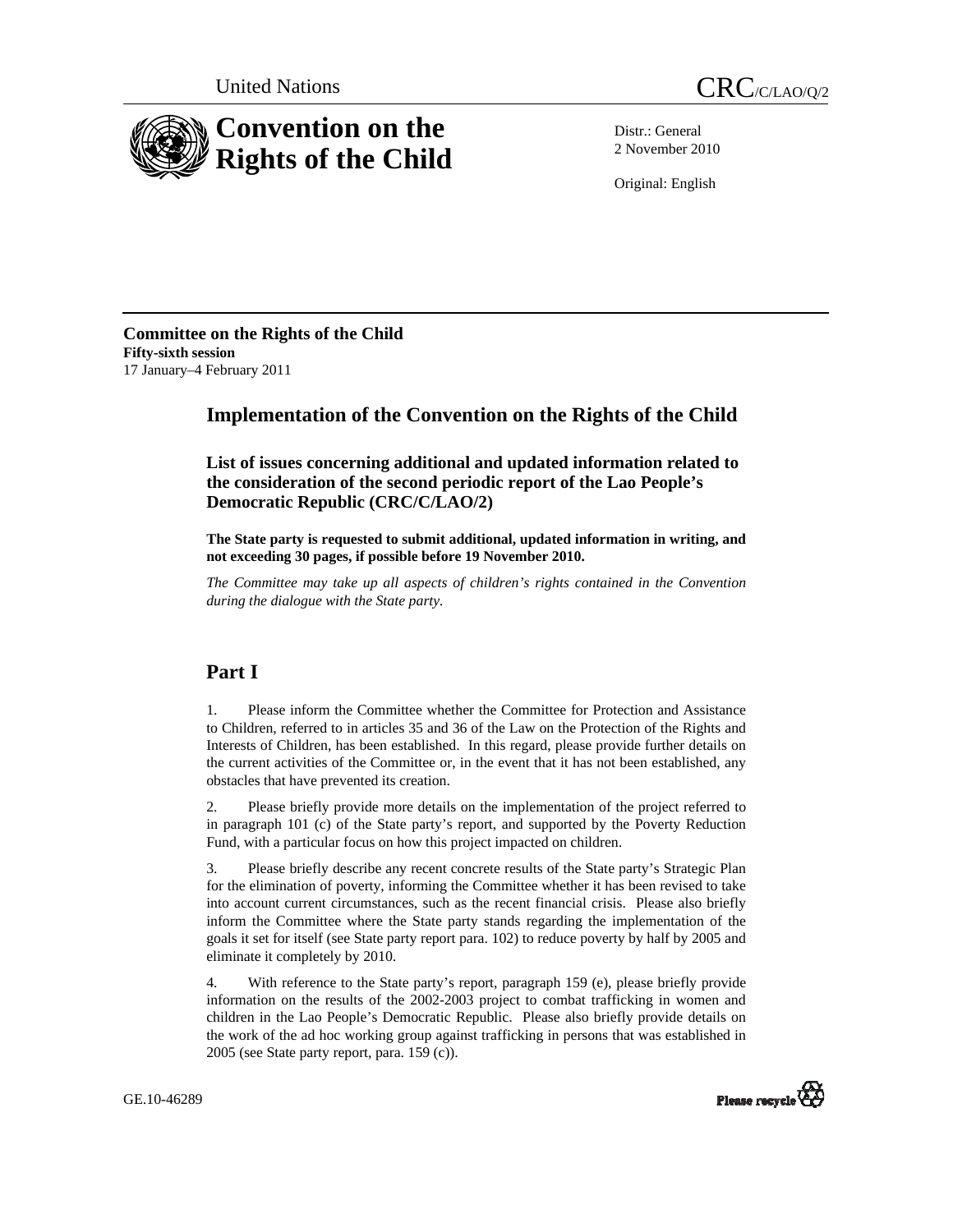



Distr.: General 2 November 2010

Original: English

**Committee on the Rights of the Child Fifty-sixth session**  17 January–4 February 2011

# **Implementation of the Convention on the Rights of the Child**

 **List of issues concerning additional and updated information related to the consideration of the second periodic report of the Lao People's Democratic Republic (CRC/C/LAO/2)** 

**The State party is requested to submit additional, updated information in writing, and not exceeding 30 pages, if possible before 19 November 2010.** 

*The Committee may take up all aspects of children's rights contained in the Convention during the dialogue with the State party.* 

## **Part I**

1. Please inform the Committee whether the Committee for Protection and Assistance to Children, referred to in articles 35 and 36 of the Law on the Protection of the Rights and Interests of Children, has been established. In this regard, please provide further details on the current activities of the Committee or, in the event that it has not been established, any obstacles that have prevented its creation.

2. Please briefly provide more details on the implementation of the project referred to in paragraph 101 (c) of the State party's report, and supported by the Poverty Reduction Fund, with a particular focus on how this project impacted on children.

3. Please briefly describe any recent concrete results of the State party's Strategic Plan for the elimination of poverty, informing the Committee whether it has been revised to take into account current circumstances, such as the recent financial crisis. Please also briefly inform the Committee where the State party stands regarding the implementation of the goals it set for itself (see State party report para. 102) to reduce poverty by half by 2005 and eliminate it completely by 2010.

4. With reference to the State party's report, paragraph 159 (e), please briefly provide information on the results of the 2002-2003 project to combat trafficking in women and children in the Lao People's Democratic Republic. Please also briefly provide details on the work of the ad hoc working group against trafficking in persons that was established in 2005 (see State party report, para. 159 (c)).

GE.10-46289

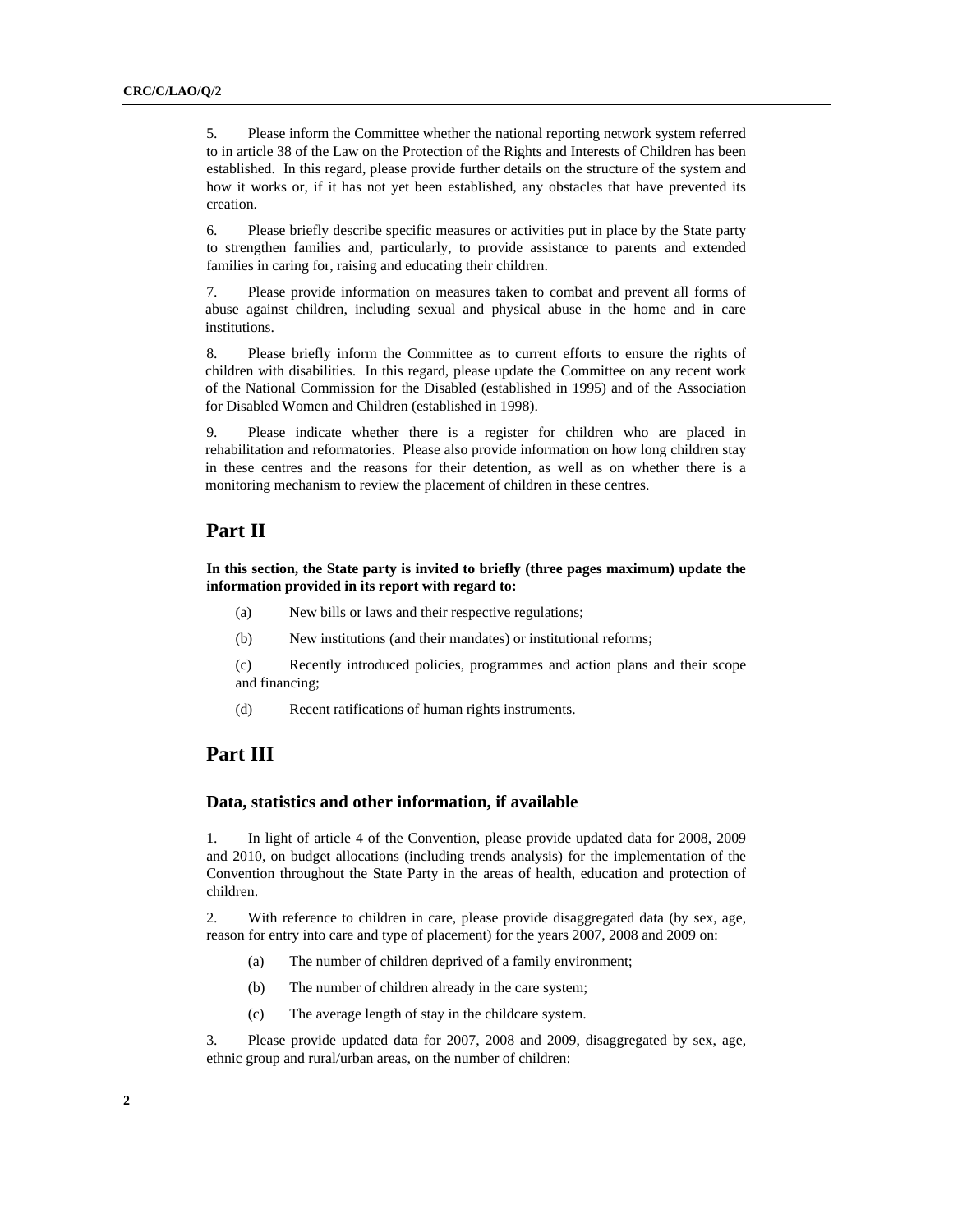5. Please inform the Committee whether the national reporting network system referred to in article 38 of the Law on the Protection of the Rights and Interests of Children has been established. In this regard, please provide further details on the structure of the system and how it works or, if it has not yet been established, any obstacles that have prevented its creation.

6. Please briefly describe specific measures or activities put in place by the State party to strengthen families and, particularly, to provide assistance to parents and extended families in caring for, raising and educating their children.

7. Please provide information on measures taken to combat and prevent all forms of abuse against children, including sexual and physical abuse in the home and in care institutions.

8. Please briefly inform the Committee as to current efforts to ensure the rights of children with disabilities. In this regard, please update the Committee on any recent work of the National Commission for the Disabled (established in 1995) and of the Association for Disabled Women and Children (established in 1998).

9. Please indicate whether there is a register for children who are placed in rehabilitation and reformatories. Please also provide information on how long children stay in these centres and the reasons for their detention, as well as on whether there is a monitoring mechanism to review the placement of children in these centres.

### **Part II**

**In this section, the State party is invited to briefly (three pages maximum) update the information provided in its report with regard to:** 

- (a) New bills or laws and their respective regulations;
- (b) New institutions (and their mandates) or institutional reforms;

(c) Recently introduced policies, programmes and action plans and their scope and financing;

(d) Recent ratifications of human rights instruments.

### **Part III**

#### **Data, statistics and other information, if available**

1. In light of article 4 of the Convention, please provide updated data for 2008, 2009 and 2010, on budget allocations (including trends analysis) for the implementation of the Convention throughout the State Party in the areas of health, education and protection of children.

2. With reference to children in care, please provide disaggregated data (by sex, age, reason for entry into care and type of placement) for the years 2007, 2008 and 2009 on:

- (a) The number of children deprived of a family environment;
- (b) The number of children already in the care system;
- (c) The average length of stay in the childcare system.

3. Please provide updated data for 2007, 2008 and 2009, disaggregated by sex, age, ethnic group and rural/urban areas, on the number of children: